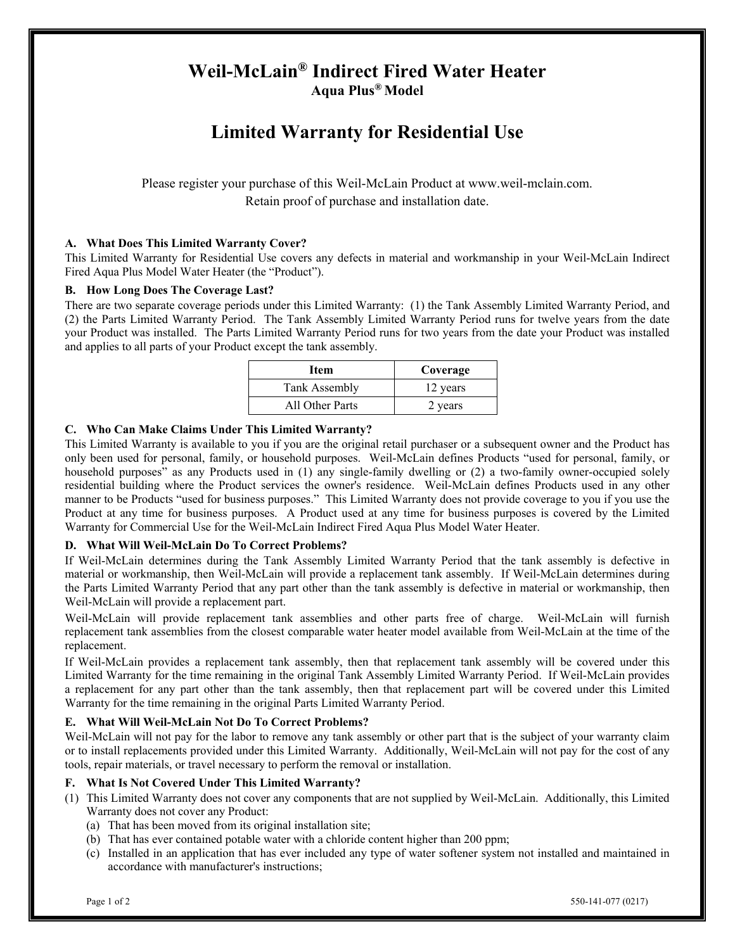# **Weil-McLain® Indirect Fired Water Heater Aqua Plus® Model**

# **Limited Warranty for Residential Use**

Please register your purchase of this Weil-McLain Product at www.weil-mclain.com. Retain proof of purchase and installation date.

# **A. What Does This Limited Warranty Cover?**

This Limited Warranty for Residential Use covers any defects in material and workmanship in your Weil-McLain Indirect Fired Aqua Plus Model Water Heater (the "Product").

#### **B. How Long Does The Coverage Last?**

There are two separate coverage periods under this Limited Warranty: (1) the Tank Assembly Limited Warranty Period, and (2) the Parts Limited Warranty Period. The Tank Assembly Limited Warranty Period runs for twelve years from the date your Product was installed. The Parts Limited Warranty Period runs for two years from the date your Product was installed and applies to all parts of your Product except the tank assembly.

| Item            | Coverage |
|-----------------|----------|
| Tank Assembly   | 12 years |
| All Other Parts | 2 years  |

### **C. Who Can Make Claims Under This Limited Warranty?**

This Limited Warranty is available to you if you are the original retail purchaser or a subsequent owner and the Product has only been used for personal, family, or household purposes. Weil-McLain defines Products "used for personal, family, or household purposes" as any Products used in (1) any single-family dwelling or (2) a two-family owner-occupied solely residential building where the Product services the owner's residence. Weil-McLain defines Products used in any other manner to be Products "used for business purposes." This Limited Warranty does not provide coverage to you if you use the Product at any time for business purposes. A Product used at any time for business purposes is covered by the Limited Warranty for Commercial Use for the Weil-McLain Indirect Fired Aqua Plus Model Water Heater.

#### **D. What Will Weil-McLain Do To Correct Problems?**

If Weil-McLain determines during the Tank Assembly Limited Warranty Period that the tank assembly is defective in material or workmanship, then Weil-McLain will provide a replacement tank assembly. If Weil-McLain determines during the Parts Limited Warranty Period that any part other than the tank assembly is defective in material or workmanship, then Weil-McLain will provide a replacement part.

Weil-McLain will provide replacement tank assemblies and other parts free of charge. Weil-McLain will furnish replacement tank assemblies from the closest comparable water heater model available from Weil-McLain at the time of the replacement.

If Weil-McLain provides a replacement tank assembly, then that replacement tank assembly will be covered under this Limited Warranty for the time remaining in the original Tank Assembly Limited Warranty Period. If Weil-McLain provides a replacement for any part other than the tank assembly, then that replacement part will be covered under this Limited Warranty for the time remaining in the original Parts Limited Warranty Period.

# **E. What Will Weil-McLain Not Do To Correct Problems?**

Weil-McLain will not pay for the labor to remove any tank assembly or other part that is the subject of your warranty claim or to install replacements provided under this Limited Warranty. Additionally, Weil-McLain will not pay for the cost of any tools, repair materials, or travel necessary to perform the removal or installation.

#### **F. What Is Not Covered Under This Limited Warranty?**

- (1) This Limited Warranty does not cover any components that are not supplied by Weil-McLain. Additionally, this Limited Warranty does not cover any Product:
	- (a) That has been moved from its original installation site;
	- (b) That has ever contained potable water with a chloride content higher than 200 ppm;
	- (c) Installed in an application that has ever included any type of water softener system not installed and maintained in accordance with manufacturer's instructions;